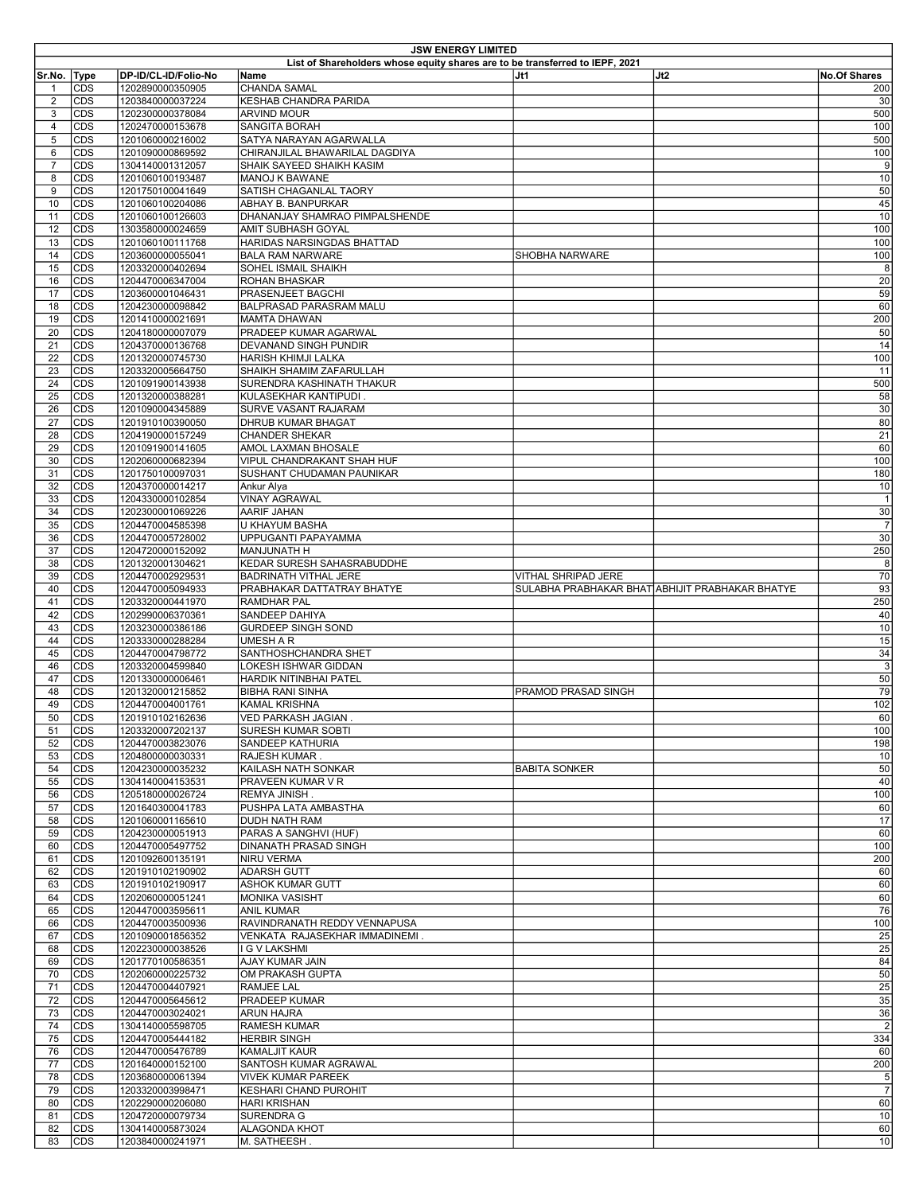| <b>JSW ENERGY LIMITED</b> |                          |                                      |                                                                                      |                            |                                                 |                      |  |
|---------------------------|--------------------------|--------------------------------------|--------------------------------------------------------------------------------------|----------------------------|-------------------------------------------------|----------------------|--|
| Sr.No. Type               |                          | DP-ID/CL-ID/Folio-No                 | List of Shareholders whose equity shares are to be transferred to IEPF, 2021<br>Name | lJt1                       | Jt2                                             | <b>No.Of Shares</b>  |  |
| $\mathbf{1}$              | <b>CDS</b>               | 1202890000350905                     | <b>CHANDA SAMAL</b>                                                                  |                            |                                                 | 200                  |  |
| 2                         | <b>CDS</b>               | 1203840000037224                     | KESHAB CHANDRA PARIDA                                                                |                            |                                                 | 30                   |  |
| 3<br>4                    | CDS<br><b>CDS</b>        | 1202300000378084<br>1202470000153678 | <b>ARVIND MOUR</b><br>SANGITA BORAH                                                  |                            |                                                 | 500<br>100           |  |
| 5                         | <b>CDS</b>               | 1201060000216002                     | SATYA NARAYAN AGARWALLA                                                              |                            |                                                 | 500                  |  |
| 6                         | <b>CDS</b>               | 1201090000869592                     | CHIRANJILAL BHAWARILAL DAGDIYA                                                       |                            |                                                 | 100                  |  |
| $\overline{7}$            | <b>CDS</b>               | 1304140001312057                     | SHAIK SAYEED SHAIKH KASIM                                                            |                            |                                                 | 9                    |  |
| 8<br>9                    | <b>CDS</b><br><b>CDS</b> | 1201060100193487<br>1201750100041649 | MANOJ K BAWANE<br>SATISH CHAGANLAL TAORY                                             |                            |                                                 | 10<br>50             |  |
| 10                        | CDS                      | 1201060100204086                     | ABHAY B. BANPURKAR                                                                   |                            |                                                 | 45                   |  |
| 11                        | CDS                      | 1201060100126603                     | DHANANJAY SHAMRAO PIMPALSHENDE                                                       |                            |                                                 | 10                   |  |
| 12                        | <b>CDS</b>               | 1303580000024659                     | AMIT SUBHASH GOYAL                                                                   |                            |                                                 | 100                  |  |
| 13<br>14                  | <b>CDS</b><br>CDS        | 1201060100111768<br>1203600000055041 | HARIDAS NARSINGDAS BHATTAD<br><b>BALA RAM NARWARE</b>                                | <b>SHOBHA NARWARE</b>      |                                                 | 100<br>100           |  |
| 15                        | <b>CDS</b>               | 1203320000402694                     | SOHEL ISMAIL SHAIKH                                                                  |                            |                                                 | 8                    |  |
| 16                        | <b>CDS</b>               | 1204470006347004                     | ROHAN BHASKAR                                                                        |                            |                                                 | 20                   |  |
| 17<br>18                  | CDS<br><b>CDS</b>        | 1203600001046431                     | PRASENJEET BAGCHI                                                                    |                            |                                                 | 59<br>60             |  |
| 19                        | <b>CDS</b>               | 1204230000098842<br>1201410000021691 | BALPRASAD PARASRAM MALU<br><b>MAMTA DHAWAN</b>                                       |                            |                                                 | 200                  |  |
| 20                        | <b>CDS</b>               | 1204180000007079                     | PRADEEP KUMAR AGARWAL                                                                |                            |                                                 | 50                   |  |
| 21                        | <b>CDS</b>               | 1204370000136768                     | DEVANAND SINGH PUNDIR                                                                |                            |                                                 | 14                   |  |
| 22<br>23                  | CDS<br><b>CDS</b>        | 1201320000745730<br>1203320005664750 | HARISH KHIMJI LALKA<br>SHAIKH SHAMIM ZAFARULLAH                                      |                            |                                                 | 100<br>11            |  |
| 24                        | <b>CDS</b>               | 1201091900143938                     | SURENDRA KASHINATH THAKUR                                                            |                            |                                                 | 500                  |  |
| 25                        | <b>CDS</b>               | 1201320000388281                     | KULASEKHAR KANTIPUDI                                                                 |                            |                                                 | 58                   |  |
| 26                        | <b>CDS</b>               | 1201090004345889                     | SURVE VASANT RAJARAM                                                                 |                            |                                                 | 30                   |  |
| 27                        | <b>CDS</b>               | 1201910100390050                     | DHRUB KUMAR BHAGAT                                                                   |                            |                                                 | 80                   |  |
| 28<br>29                  | CDS<br>CDS               | 1204190000157249<br>1201091900141605 | <b>CHANDER SHEKAR</b><br>AMOL LAXMAN BHOSALE                                         |                            |                                                 | 21<br>60             |  |
| 30                        | <b>CDS</b>               | 1202060000682394                     | VIPUL CHANDRAKANT SHAH HUF                                                           |                            |                                                 | 100                  |  |
| 31                        | <b>CDS</b>               | 1201750100097031                     | SUSHANT CHUDAMAN PAUNIKAR                                                            |                            |                                                 | 180                  |  |
| 32                        | <b>CDS</b>               | 1204370000014217                     | Ankur Alya                                                                           |                            |                                                 | 10                   |  |
| 33<br>34                  | <b>CDS</b><br><b>CDS</b> | 1204330000102854<br>1202300001069226 | <b>VINAY AGRAWAL</b><br>AARIF JAHAN                                                  |                            |                                                 | $\overline{1}$<br>30 |  |
| 35                        | <b>CDS</b>               | 1204470004585398                     | U KHAYUM BASHA                                                                       |                            |                                                 | $\overline{7}$       |  |
| 36                        | CDS                      | 1204470005728002                     | UPPUGANTI PAPAYAMMA                                                                  |                            |                                                 | 30                   |  |
| 37                        | <b>CDS</b>               | 1204720000152092                     | MANJUNATH H                                                                          |                            |                                                 | 250                  |  |
| 38                        | <b>CDS</b><br>CDS        | 1201320001304621                     | KEDAR SURESH SAHASRABUDDHE                                                           |                            |                                                 | 8<br>70              |  |
| 39<br>40                  | <b>CDS</b>               | 1204470002929531<br>1204470005094933 | BADRINATH VITHAL JERE<br>PRABHAKAR DATTATRAY BHATYE                                  | <b>VITHAL SHRIPAD JERE</b> | SULABHA PRABHAKAR BHAT ABHIJIT PRABHAKAR BHATYE | 93                   |  |
| 41                        | <b>CDS</b>               | 1203320000441970                     | RAMDHAR PAL                                                                          |                            |                                                 | 250                  |  |
| 42                        | CDS                      | 1202990006370361                     | SANDEEP DAHIYA                                                                       |                            |                                                 | 40                   |  |
| 43                        | <b>CDS</b>               | 1203230000386186                     | GURDEEP SINGH SOND                                                                   |                            |                                                 | 10                   |  |
| 44<br>45                  | <b>CDS</b><br><b>CDS</b> | 1203330000288284<br>1204470004798772 | UMESH A R<br>SANTHOSHCHANDRA SHET                                                    |                            |                                                 | 15<br>34             |  |
| 46                        | <b>CDS</b>               | 1203320004599840                     | LOKESH ISHWAR GIDDAN                                                                 |                            |                                                 | 3                    |  |
| 47                        | <b>CDS</b>               | 1201330000006461                     | HARDIK NITINBHAI PATEL                                                               |                            |                                                 | 50                   |  |
| 48                        | <b>CDS</b>               | 1201320001215852                     | <b>BIBHA RANI SINHA</b>                                                              | PRAMOD PRASAD SINGH        |                                                 | 79                   |  |
| 49<br>50                  | <b>CDS</b><br><b>CDS</b> | 1204470004001761<br>1201910102162636 | KAMAL KRISHNA<br>VED PARKASH JAGIAN                                                  |                            |                                                 | 102<br>60            |  |
| 51                        | <b>CDS</b>               | 1203320007202137                     | SURESH KUMAR SOBTI                                                                   |                            |                                                 | 100                  |  |
| 52                        | <b>CDS</b>               | 1204470003823076                     | SANDEEP KATHURIA                                                                     |                            |                                                 | 198                  |  |
| 53                        | <b>CDS</b>               | 1204800000030331                     | RAJESH KUMAR.                                                                        |                            |                                                 | 10                   |  |
| 54<br>55                  | <b>CDS</b><br><b>CDS</b> | 1204230000035232<br>1304140004153531 | KAILASH NATH SONKAR<br>PRAVEEN KUMAR V R                                             | <b>BABITA SONKER</b>       |                                                 | 50<br>40             |  |
| 56                        | <b>CDS</b>               | 1205180000026724                     | REMYA JINISH.                                                                        |                            |                                                 | 100                  |  |
| 57                        | <b>CDS</b>               | 1201640300041783                     | PUSHPA LATA AMBASTHA                                                                 |                            |                                                 | 60                   |  |
| 58                        | <b>CDS</b>               | 1201060001165610                     | DUDH NATH RAM                                                                        |                            |                                                 | 17                   |  |
| 59                        | <b>CDS</b>               | 1204230000051913                     | PARAS A SANGHVI (HUF)                                                                |                            |                                                 | 60                   |  |
| 60<br>61                  | <b>CDS</b><br>CDS        | 1204470005497752<br>1201092600135191 | DINANATH PRASAD SINGH<br>NIRU VERMA                                                  |                            |                                                 | 100<br>200           |  |
| 62                        | <b>CDS</b>               | 1201910102190902                     | <b>ADARSH GUTT</b>                                                                   |                            |                                                 | 60                   |  |
| 63                        | <b>CDS</b>               | 1201910102190917                     | <b>ASHOK KUMAR GUTT</b>                                                              |                            |                                                 | 60                   |  |
| 64                        | <b>CDS</b>               | 1202060000051241                     | <b>MONIKA VASISHT</b>                                                                |                            |                                                 | 60                   |  |
| 65<br>66                  | <b>CDS</b><br><b>CDS</b> | 1204470003595611<br>1204470003500936 | <b>ANIL KUMAR</b><br>RAVINDRANATH REDDY VENNAPUSA                                    |                            |                                                 | 76<br>100            |  |
| 67                        | CDS                      | 1201090001856352                     | VENKATA RAJASEKHAR IMMADINEMI.                                                       |                            |                                                 | 25                   |  |
| 68                        | <b>CDS</b>               | 1202230000038526                     | I G V LAKSHMI                                                                        |                            |                                                 | 25                   |  |
| 69                        | <b>CDS</b>               | 1201770100586351                     | AJAY KUMAR JAIN                                                                      |                            |                                                 | 84                   |  |
| 70<br>71                  | <b>CDS</b><br><b>CDS</b> | 1202060000225732<br>1204470004407921 | OM PRAKASH GUPTA<br>RAMJEE LAL                                                       |                            |                                                 | 50<br>25             |  |
| 72                        | CDS                      | 1204470005645612                     | PRADEEP KUMAR                                                                        |                            |                                                 | 35                   |  |
| 73                        | <b>CDS</b>               | 1204470003024021                     | ARUN HAJRA                                                                           |                            |                                                 | 36                   |  |
| 74                        | <b>CDS</b>               | 1304140005598705                     | RAMESH KUMAR                                                                         |                            |                                                 | $\overline{2}$       |  |
| 75                        | <b>CDS</b>               | 1204470005444182                     | <b>HERBIR SINGH</b>                                                                  |                            |                                                 | 334                  |  |
| 76<br>77                  | <b>CDS</b><br><b>CDS</b> | 1204470005476789<br>1201640000152100 | KAMALJIT KAUR<br>SANTOSH KUMAR AGRAWAL                                               |                            |                                                 | 60<br>200            |  |
| 78                        | <b>CDS</b>               | 1203680000061394                     | <b>VIVEK KUMAR PAREEK</b>                                                            |                            |                                                 | $\mathbf 5$          |  |
| 79                        | <b>CDS</b>               | 1203320003998471                     | <b>KESHARI CHAND PUROHIT</b>                                                         |                            |                                                 | $\overline{7}$       |  |
| 80                        | <b>CDS</b>               | 1202290000206080                     | <b>HARI KRISHAN</b>                                                                  |                            |                                                 | 60                   |  |
| 81<br>82                  | <b>CDS</b><br><b>CDS</b> | 1204720000079734<br>1304140005873024 | SURENDRA G<br>ALAGONDA KHOT                                                          |                            |                                                 | 10<br>60             |  |
| 83                        | <b>CDS</b>               | 1203840000241971                     | M. SATHEESH.                                                                         |                            |                                                 | 10                   |  |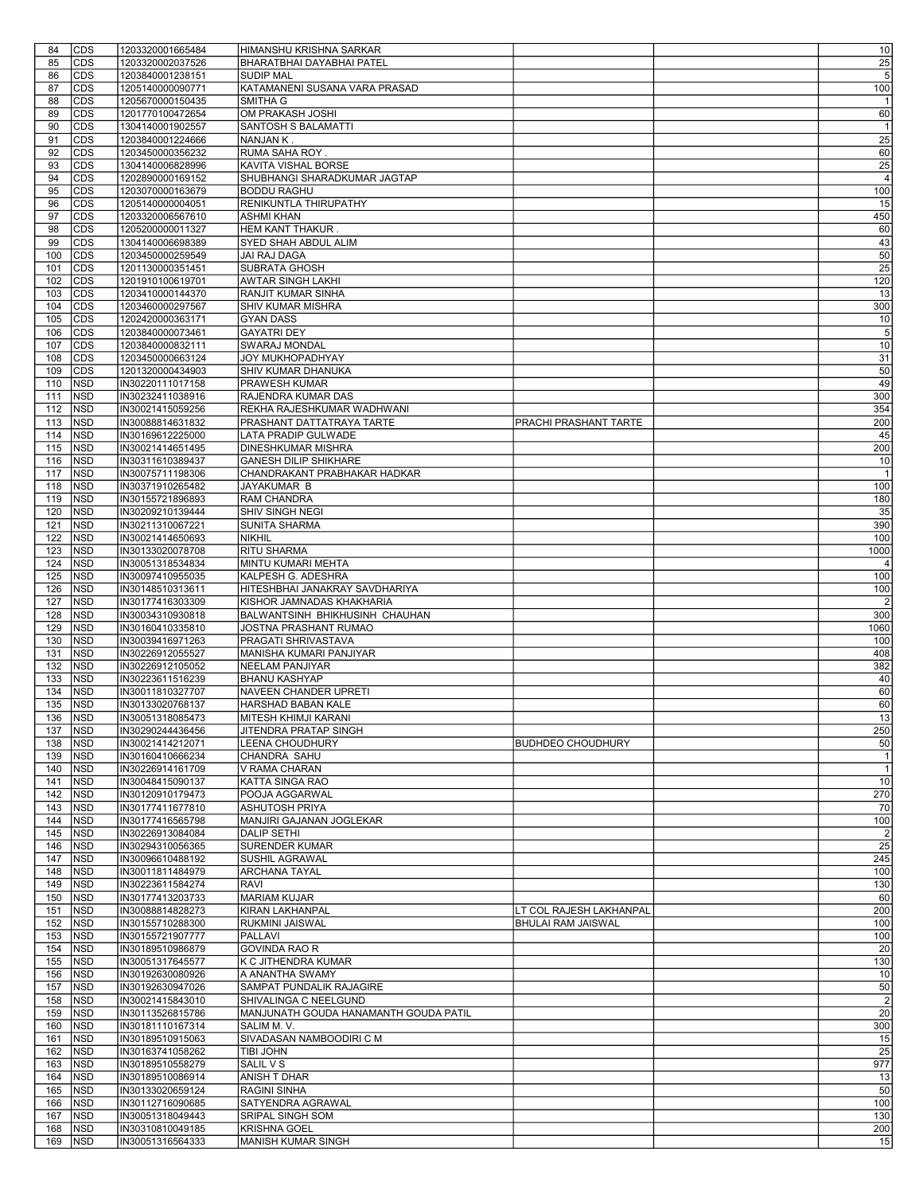| 84             | <b>CDS</b>               | 1203320001665484                     | HIMANSHU KRISHNA SARKAR                                     |                           | 10                    |
|----------------|--------------------------|--------------------------------------|-------------------------------------------------------------|---------------------------|-----------------------|
| 85             | <b>CDS</b>               | 1203320002037526                     | BHARATBHAI DAYABHAI PATEL                                   |                           | 25                    |
| 86             | <b>CDS</b>               | 1203840001238151                     | <b>SUDIP MAL</b>                                            |                           | 5                     |
| 87<br>88       | CDS<br>CDS               | 1205140000090771<br>1205670000150435 | KATAMANENI SUSANA VARA PRASAD<br>SMITHA G                   |                           | 100<br>$\overline{1}$ |
| 89             | CDS                      | 1201770100472654                     | OM PRAKASH JOSHI                                            |                           | 60                    |
| 90             | CDS                      | 1304140001902557                     | <b>SANTOSH S BALAMATTI</b>                                  |                           | $\overline{1}$        |
| 91             | CDS                      | 1203840001224666                     | NANJAN K.                                                   |                           | 25                    |
| 92             | <b>CDS</b>               | 1203450000356232                     | RUMA SAHA ROY.                                              |                           | 60                    |
| 93             | CDS                      | 1304140006828996                     | KAVITA VISHAL BORSE                                         |                           | 25                    |
| 94             | CDS                      | 1202890000169152                     | SHUBHANGI SHARADKUMAR JAGTAP                                |                           | $\overline{4}$        |
| 95<br>96       | CDS<br>CDS               | 1203070000163679<br>1205140000004051 | <b>BODDU RAGHU</b><br><b>RENIKUNTLA THIRUPATHY</b>          |                           | 100<br>15             |
| 97             | CDS                      | 1203320006567610                     | <b>ASHMI KHAN</b>                                           |                           | 450                   |
| 98             | <b>CDS</b>               | 1205200000011327                     | HEM KANT THAKUR.                                            |                           | 60                    |
| 99             | CDS                      | 1304140006698389                     | SYED SHAH ABDUL ALIM                                        |                           | 43                    |
| 100            | CDS                      | 1203450000259549                     | JAI RAJ DAGA                                                |                           | 50                    |
| 101            | CDS                      | 1201130000351451                     | SUBRATA GHOSH                                               |                           | 25                    |
| 102            | CDS                      | 1201910100619701                     | <b>AWTAR SINGH LAKHI</b>                                    |                           | 120                   |
| 103<br>104     | <b>CDS</b><br>CDS        | 1203410000144370<br>1203460000297567 | RANJIT KUMAR SINHA<br>SHIV KUMAR MISHRA                     |                           | 13<br>300             |
| 105            | <b>CDS</b>               | 1202420000363171                     | <b>GYAN DASS</b>                                            |                           | 10                    |
| 106            | CDS                      | 1203840000073461                     | <b>GAYATRI DEY</b>                                          |                           | 5                     |
| 107            | CDS                      | 1203840000832111                     | <b>SWARAJ MONDAL</b>                                        |                           | 10                    |
| 108            | CDS                      | 1203450000663124                     | JOY MUKHOPADHYAY                                            |                           | 31                    |
| 109            | CDS                      | 1201320000434903                     | SHIV KUMAR DHANUKA                                          |                           | 50                    |
| 110            | <b>NSD</b><br><b>NSD</b> | IN30220111017158                     | PRAWESH KUMAR<br>RAJENDRA KUMAR DAS                         |                           | 49                    |
| 111<br>112     | NSD                      | IN30232411038916<br>IN30021415059256 | REKHA RAJESHKUMAR WADHWANI                                  |                           | 300<br>354            |
| 113            | <b>NSD</b>               | IN30088814631832                     | PRASHANT DATTATRAYA TARTE                                   | PRACHI PRASHANT TARTE     | 200                   |
| 114            | <b>NSD</b>               | IN30169612225000                     | LATA PRADIP GULWADE                                         |                           | 45                    |
| 115            | <b>NSD</b>               | IN30021414651495                     | <b>DINESHKUMAR MISHRA</b>                                   |                           | 200                   |
| 116            | NSD                      | IN30311610389437                     | <b>GANESH DILIP SHIKHARE</b>                                |                           | 10                    |
| 117            | NSD                      | IN30075711198306                     | CHANDRAKANT PRABHAKAR HADKAR                                |                           | $\overline{1}$        |
| 118<br>119     | NSD<br><b>NSD</b>        | IN30371910265482<br>IN30155721896893 | JAYAKUMAR B<br><b>RAM CHANDRA</b>                           |                           | 100<br>180            |
| 120            | <b>NSD</b>               | IN30209210139444                     | <b>SHIV SINGH NEGI</b>                                      |                           | 35                    |
| 121            | <b>NSD</b>               | IN30211310067221                     | <b>SUNITA SHARMA</b>                                        |                           | 390                   |
| 122            | <b>NSD</b>               | IN30021414650693                     | <b>NIKHIL</b>                                               |                           | 100                   |
| 123            | <b>NSD</b>               | IN30133020078708                     | RITU SHARMA                                                 |                           | 1000                  |
| 124            | <b>NSD</b>               | IN30051318534834                     | MINTU KUMARI MEHTA                                          |                           | $\overline{4}$        |
| 125            | <b>NSD</b>               | IN30097410955035                     | KALPESH G. ADESHRA                                          |                           | 100                   |
| 126<br>127     | <b>NSD</b><br><b>NSD</b> | IN30148510313611<br>IN30177416303309 | HITESHBHAI JANAKRAY SAVDHARIYA<br>KISHOR JAMNADAS KHAKHARIA |                           | 100<br>$\overline{2}$ |
| 128            | <b>NSD</b>               | IN30034310930818                     | BALWANTSINH BHIKHUSINH CHAUHAN                              |                           | 300                   |
| 129            | NSD                      | IN30160410335810                     | JOSTNA PRASHANT RUMAO                                       |                           | 1060                  |
| 130            | <b>NSD</b>               | IN30039416971263                     | PRAGATI SHRIVASTAVA                                         |                           | 100                   |
| 131            | NSD                      | IN30226912055527                     | MANISHA KUMARI PANJIYAR                                     |                           | 408                   |
| 132            | <b>NSD</b>               | IN30226912105052                     | NEELAM PANJIYAR                                             |                           | 382                   |
| 133<br>134     | <b>NSD</b><br><b>NSD</b> | IN30223611516239<br>IN30011810327707 | <b>BHANU KASHYAP</b><br>NAVEEN CHANDER UPRETI               |                           | 40<br>60              |
| 135            | <b>NSD</b>               | IN30133020768137                     | HARSHAD BABAN KALE                                          |                           | 60                    |
| 136 <b>NSD</b> |                          | IN30051318085473                     | MITESH KHIMJI KARANI                                        |                           | 13                    |
| 137            | <b>NSD</b>               | IIN30290244436456                    | JITENDRA PRATAP SINGH                                       |                           | 250                   |
| 138            | <b>NSD</b>               | IN30021414212071                     | LEENA CHOUDHURY                                             | <b>BUDHDEO CHOUDHURY</b>  | 50                    |
| 139            | <b>NSD</b>               | IN30160410666234                     | CHANDRA SAHU                                                |                           | $\overline{1}$        |
| 140            | <b>NSD</b>               | IN30226914161709                     | V RAMA CHARAN                                               |                           | $\overline{1}$        |
| 141<br>142     | <b>NSD</b><br><b>NSD</b> | IN30048415090137<br>IN30120910179473 | KATTA SINGA RAO<br>POOJA AGGARWAL                           |                           | 10<br>270             |
| 143            | NSD                      | IN30177411677810                     | <b>ASHUTOSH PRIYA</b>                                       |                           | 70                    |
| 144            | NSD                      | IN30177416565798                     | MANJIRI GAJANAN JOGLEKAR                                    |                           | 100                   |
| 145            | <b>NSD</b>               | IN30226913084084                     | <b>DALIP SETHI</b>                                          |                           | $\overline{2}$        |
| 146            | <b>NSD</b>               | IN30294310056365                     | <b>SURENDER KUMAR</b>                                       |                           | 25                    |
| 147            | <b>NSD</b>               | IN30096610488192                     | SUSHIL AGRAWAL                                              |                           | 245                   |
| 148<br>149     | <b>NSD</b><br><b>NSD</b> | IN30011811484979<br>IN30223611584274 | <b>ARCHANA TAYAL</b><br><b>RAVI</b>                         |                           | 100<br>130            |
| 150            | NSD                      | IN30177413203733                     | <b>MARIAM KUJAR</b>                                         |                           | 60                    |
| 151            | <b>NSD</b>               | IN30088814828273                     | <b>KIRAN LAKHANPAL</b>                                      | LT COL RAJESH LAKHANPAL   | 200                   |
| 152            | <b>NSD</b>               | IN30155710288300                     | RUKMINI JAISWAL                                             | <b>BHULAI RAM JAISWAL</b> | 100                   |
| 153            | NSD                      | IN30155721907777                     | <b>PALLAVI</b>                                              |                           | 100                   |
| 154            | <b>NSD</b>               | IN30189510986879                     | <b>GOVINDA RAO R</b>                                        |                           | 20                    |
| 155            | NSD                      | IN30051317645577                     | K C JITHENDRA KUMAR                                         |                           | 130                   |
| 156<br>157     | NSD<br><b>NSD</b>        | IN30192630080926<br>IN30192630947026 | A ANANTHA SWAMY<br>SAMPAT PUNDALIK RAJAGIRE                 |                           | 10<br>50              |
| 158            | <b>NSD</b>               | IN30021415843010                     | SHIVALINGA C NEELGUND                                       |                           | $\overline{2}$        |
| 159            | NSD                      | IN30113526815786                     | MANJUNATH GOUDA HANAMANTH GOUDA PATIL                       |                           | 20                    |
| 160            | NSD                      | IN30181110167314                     | SALIM M.V.                                                  |                           | 300                   |
| 161            | <b>NSD</b>               | IN30189510915063                     | SIVADASAN NAMBOODIRI C M                                    |                           | 15                    |
| 162            | NSD                      | IN30163741058262                     | TIBI JOHN                                                   |                           | 25                    |
| 163<br>164     | <b>NSD</b><br><b>NSD</b> | IN30189510558279<br>IN30189510086914 | SALIL V S<br>ANISH T DHAR                                   |                           | 977<br>13             |
| 165            | <b>NSD</b>               | IN30133020659124                     | <b>RAGINI SINHA</b>                                         |                           | 50                    |
| 166            | NSD                      | IN30112716090685                     | SATYENDRA AGRAWAL                                           |                           | 100                   |
| 167            | NSD                      | IN30051318049443                     | SRIPAL SINGH SOM                                            |                           | 130                   |
| 168            | NSD                      | IN30310810049185                     | <b>KRISHNA GOEL</b>                                         |                           | 200                   |
| 169            | <b>NSD</b>               | IN30051316564333                     | MANISH KUMAR SINGH                                          |                           | 15                    |